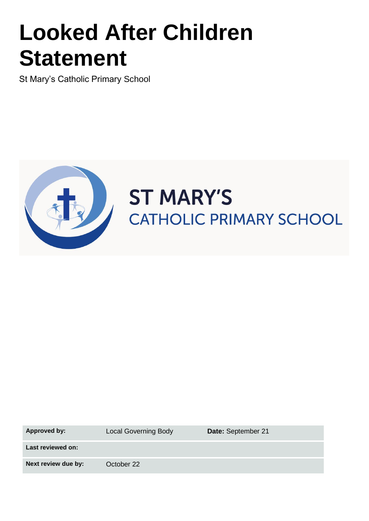# **Looked After Children Statement**

St Mary's Catholic Primary School



# **ST MARY'S** CATHOLIC PRIMARY SCHOOL

Approved by: Local Governing Body **Date:** September 21

**Last reviewed on:**

**Next review due by:** October 22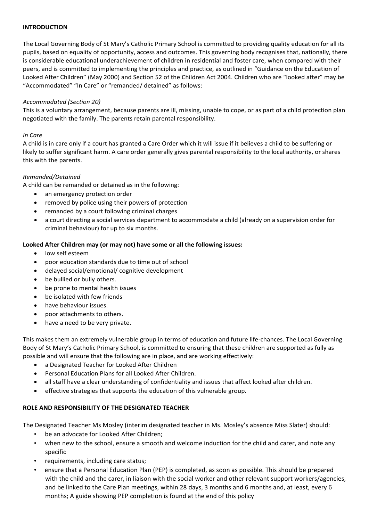#### **INTRODUCTION**

The Local Governing Body of St Mary's Catholic Primary School is committed to providing quality education for all its pupils, based on equality of opportunity, access and outcomes. This governing body recognises that, nationally, there is considerable educational underachievement of children in residential and foster care, when compared with their peers, and is committed to implementing the principles and practice, as outlined in "Guidance on the Education of Looked After Children" (May 2000) and Section 52 of the Children Act 2004. Children who are "looked after" may be "Accommodated" "In Care" or "remanded/ detained" as follows:

#### *Accommodated (Section 20)*

This is a voluntary arrangement, because parents are ill, missing, unable to cope, or as part of a child protection plan negotiated with the family. The parents retain parental responsibility.

#### *In Care*

A child is in care only if a court has granted a Care Order which it will issue if it believes a child to be suffering or likely to suffer significant harm. A care order generally gives parental responsibility to the local authority, or shares this with the parents.

## *Remanded/Detained*

A child can be remanded or detained as in the following:

- an emergency protection order
- removed by police using their powers of protection
- remanded by a court following criminal charges
- a court directing a social services department to accommodate a child (already on a supervision order for criminal behaviour) for up to six months.

## **Looked After Children may (or may not) have some or all the following issues:**

- low self esteem
- poor education standards due to time out of school
- delayed social/emotional/ cognitive development
- be bullied or bully others.
- be prone to mental health issues
- be isolated with few friends
- have behaviour issues.
- poor attachments to others.
- have a need to be very private.

This makes them an extremely vulnerable group in terms of education and future life-chances. The Local Governing Body of St Mary's Catholic Primary School, is committed to ensuring that these children are supported as fully as possible and will ensure that the following are in place, and are working effectively:

- a Designated Teacher for Looked After Children
- Personal Education Plans for all Looked After Children.
- all staff have a clear understanding of confidentiality and issues that affect looked after children.
- effective strategies that supports the education of this vulnerable group.

#### **ROLE AND RESPONSIBILITY OF THE DESIGNATED TEACHER**

The Designated Teacher Ms Mosley (interim designated teacher in Ms. Mosley's absence Miss Slater) should:

- be an advocate for Looked After Children;
- when new to the school, ensure a smooth and welcome induction for the child and carer, and note any specific
- requirements, including care status;
- ensure that a Personal Education Plan (PEP) is completed, as soon as possible. This should be prepared with the child and the carer, in liaison with the social worker and other relevant support workers/agencies, and be linked to the Care Plan meetings, within 28 days, 3 months and 6 months and, at least, every 6 months; A guide showing PEP completion is found at the end of this policy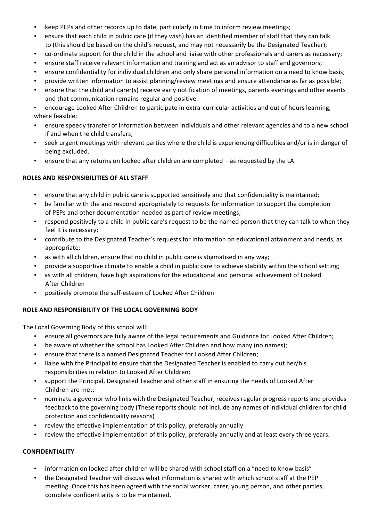- keep PEPs and other records up to date, particularly in time to inform review meetings;
- ensure that each child in public care (if they wish) has an identified member of staff that they can talk to (this should be based on the child's request, and may not necessarily be the Designated Teacher);
- co-ordinate support for the child in the school and liaise with other professionals and carers as necessary;
- ensure staff receive relevant information and training and act as an advisor to staff and governors;
- ensure confidentiality for individual children and only share personal information on a need to know basis;
- provide written information to assist planning/review meetings and ensure attendance as far as possible;
- ensure that the child and carer(s) receive early notification of meetings, parents evenings and other events and that communication remains regular and positive.

• encourage Looked After Children to participate in extra-curricular activities and out of hours learning, where feasible;

- ensure speedy transfer of information between individuals and other relevant agencies and to a new school if and when the child transfers;
- seek urgent meetings with relevant parties where the child is experiencing difficulties and/or is in danger of being excluded.
- ensure that any returns on looked after children are completed as requested by the LA

# **ROLES AND RESPONSIBILITIES OF ALL STAFF**

- ensure that any child in public care is supported sensitively and that confidentiality is maintained;
- be familiar with the and respond appropriately to requests for information to support the completion of PEPs and other documentation needed as part of review meetings;
- respond positively to a child in public care's request to be the named person that they can talk to when they feel it is necessary;
- contribute to the Designated Teacher's requests for information on educational attainment and needs, as appropriate;
- as with all children, ensure that no child in public care is stigmatised in any way;
- provide a supportive climate to enable a child in public care to achieve stability within the school setting;
- as with all children, have high aspirations for the educational and personal achievement of Looked After Children
- positively promote the self-esteem of Looked After Children

# **ROLE AND RESPONSIBILITY OF THE LOCAL GOVERNING BODY**

The Local Governing Body of this school will:

- ensure all governors are fully aware of the legal requirements and Guidance for Looked After Children;
- be aware of whether the school has Looked After Children and how many (no names);
- ensure that there is a named Designated Teacher for Looked After Children;
- liaise with the Principal to ensure that the Designated Teacher is enabled to carry out her/his responsibilities in relation to Looked After Children;
- support the Principal, Designated Teacher and other staff in ensuring the needs of Looked After Children are met;
- nominate a governor who links with the Designated Teacher, receives regular progress reports and provides feedback to the governing body (These reports should not include any names of individual children for child protection and confidentiality reasons)
- review the effective implementation of this policy, preferably annually
- review the effective implementation of this policy, preferably annually and at least every three years.

# **CONFIDENTIALITY**

- information on looked after children will be shared with school staff on a "need to know basis"
- the Designated Teacher will discuss what information is shared with which school staff at the PEP meeting. Once this has been agreed with the social worker, carer, young person, and other parties, complete confidentiality is to be maintained.